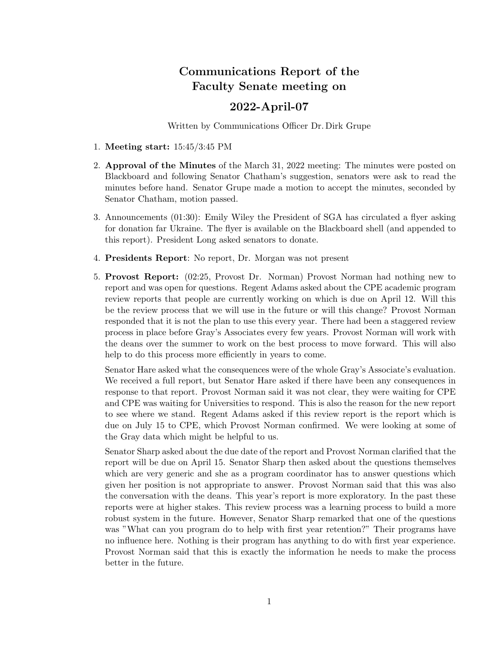## Communications Report of the Faculty Senate meeting on

## 2022-April-07

Written by Communications Officer Dr. Dirk Grupe

- 1. Meeting start: 15:45/3:45 PM
- 2. Approval of the Minutes of the March 31, 2022 meeting: The minutes were posted on Blackboard and following Senator Chatham's suggestion, senators were ask to read the minutes before hand. Senator Grupe made a motion to accept the minutes, seconded by Senator Chatham, motion passed.
- 3. Announcements (01:30): Emily Wiley the President of SGA has circulated a flyer asking for donation far Ukraine. The flyer is available on the Blackboard shell (and appended to this report). President Long asked senators to donate.
- 4. Presidents Report: No report, Dr. Morgan was not present
- 5. Provost Report: (02:25, Provost Dr. Norman) Provost Norman had nothing new to report and was open for questions. Regent Adams asked about the CPE academic program review reports that people are currently working on which is due on April 12. Will this be the review process that we will use in the future or will this change? Provost Norman responded that it is not the plan to use this every year. There had been a staggered review process in place before Gray's Associates every few years. Provost Norman will work with the deans over the summer to work on the best process to move forward. This will also help to do this process more efficiently in years to come.

Senator Hare asked what the consequences were of the whole Gray's Associate's evaluation. We received a full report, but Senator Hare asked if there have been any consequences in response to that report. Provost Norman said it was not clear, they were waiting for CPE and CPE was waiting for Universities to respond. This is also the reason for the new report to see where we stand. Regent Adams asked if this review report is the report which is due on July 15 to CPE, which Provost Norman confirmed. We were looking at some of the Gray data which might be helpful to us.

Senator Sharp asked about the due date of the report and Provost Norman clarified that the report will be due on April 15. Senator Sharp then asked about the questions themselves which are very generic and she as a program coordinator has to answer questions which given her position is not appropriate to answer. Provost Norman said that this was also the conversation with the deans. This year's report is more exploratory. In the past these reports were at higher stakes. This review process was a learning process to build a more robust system in the future. However, Senator Sharp remarked that one of the questions was "What can you program do to help with first year retention?" Their programs have no influence here. Nothing is their program has anything to do with first year experience. Provost Norman said that this is exactly the information he needs to make the process better in the future.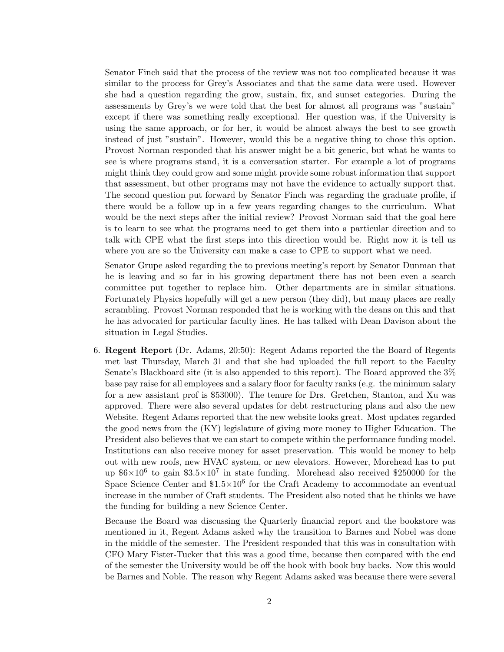Senator Finch said that the process of the review was not too complicated because it was similar to the process for Grey's Associates and that the same data were used. However she had a question regarding the grow, sustain, fix, and sunset categories. During the assessments by Grey's we were told that the best for almost all programs was "sustain" except if there was something really exceptional. Her question was, if the University is using the same approach, or for her, it would be almost always the best to see growth instead of just "sustain". However, would this be a negative thing to chose this option. Provost Norman responded that his answer might be a bit generic, but what he wants to see is where programs stand, it is a conversation starter. For example a lot of programs might think they could grow and some might provide some robust information that support that assessment, but other programs may not have the evidence to actually support that. The second question put forward by Senator Finch was regarding the graduate profile, if there would be a follow up in a few years regarding changes to the curriculum. What would be the next steps after the initial review? Provost Norman said that the goal here is to learn to see what the programs need to get them into a particular direction and to talk with CPE what the first steps into this direction would be. Right now it is tell us where you are so the University can make a case to CPE to support what we need.

Senator Grupe asked regarding the to previous meeting's report by Senator Dunman that he is leaving and so far in his growing department there has not been even a search committee put together to replace him. Other departments are in similar situations. Fortunately Physics hopefully will get a new person (they did), but many places are really scrambling. Provost Norman responded that he is working with the deans on this and that he has advocated for particular faculty lines. He has talked with Dean Davison about the situation in Legal Studies.

6. Regent Report (Dr. Adams, 20:50): Regent Adams reported the the Board of Regents met last Thursday, March 31 and that she had uploaded the full report to the Faculty Senate's Blackboard site (it is also appended to this report). The Board approved the 3% base pay raise for all employees and a salary floor for faculty ranks (e.g. the minimum salary for a new assistant prof is \$53000). The tenure for Drs. Gretchen, Stanton, and Xu was approved. There were also several updates for debt restructuring plans and also the new Website. Regent Adams reported that the new website looks great. Most updates regarded the good news from the (KY) legislature of giving more money to Higher Education. The President also believes that we can start to compete within the performance funding model. Institutions can also receive money for asset preservation. This would be money to help out with new roofs, new HVAC system, or new elevators. However, Morehead has to put up  $6 \times 10^6$  to gain  $3.5 \times 10^7$  in state funding. Morehead also received \$250000 for the Space Science Center and  $$1.5\times10^6$  for the Craft Academy to accommodate an eventual increase in the number of Craft students. The President also noted that he thinks we have the funding for building a new Science Center.

Because the Board was discussing the Quarterly financial report and the bookstore was mentioned in it, Regent Adams asked why the transition to Barnes and Nobel was done in the middle of the semester. The President responded that this was in consultation with CFO Mary Fister-Tucker that this was a good time, because then compared with the end of the semester the University would be off the hook with book buy backs. Now this would be Barnes and Noble. The reason why Regent Adams asked was because there were several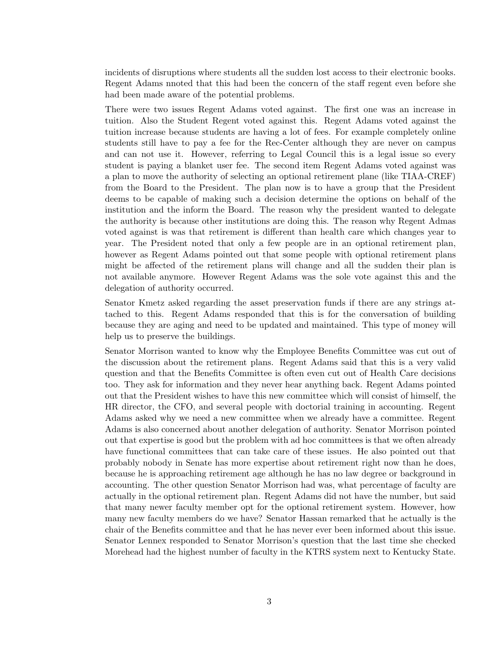incidents of disruptions where students all the sudden lost access to their electronic books. Regent Adams nnoted that this had been the concern of the staff regent even before she had been made aware of the potential problems.

There were two issues Regent Adams voted against. The first one was an increase in tuition. Also the Student Regent voted against this. Regent Adams voted against the tuition increase because students are having a lot of fees. For example completely online students still have to pay a fee for the Rec-Center although they are never on campus and can not use it. However, referring to Legal Council this is a legal issue so every student is paying a blanket user fee. The second item Regent Adams voted against was a plan to move the authority of selecting an optional retirement plane (like TIAA-CREF) from the Board to the President. The plan now is to have a group that the President deems to be capable of making such a decision determine the options on behalf of the institution and the inform the Board. The reason why the president wanted to delegate the authority is because other institutions are doing this. The reason why Regent Admas voted against is was that retirement is different than health care which changes year to year. The President noted that only a few people are in an optional retirement plan, however as Regent Adams pointed out that some people with optional retirement plans might be affected of the retirement plans will change and all the sudden their plan is not available anymore. However Regent Adams was the sole vote against this and the delegation of authority occurred.

Senator Kmetz asked regarding the asset preservation funds if there are any strings attached to this. Regent Adams responded that this is for the conversation of building because they are aging and need to be updated and maintained. This type of money will help us to preserve the buildings.

Senator Morrison wanted to know why the Employee Benefits Committee was cut out of the discussion about the retirement plans. Regent Adams said that this is a very valid question and that the Benefits Committee is often even cut out of Health Care decisions too. They ask for information and they never hear anything back. Regent Adams pointed out that the President wishes to have this new committee which will consist of himself, the HR director, the CFO, and several people with doctorial training in accounting. Regent Adams asked why we need a new committee when we already have a committee. Regent Adams is also concerned about another delegation of authority. Senator Morrison pointed out that expertise is good but the problem with ad hoc committees is that we often already have functional committees that can take care of these issues. He also pointed out that probably nobody in Senate has more expertise about retirement right now than he does, because he is approaching retirement age although he has no law degree or background in accounting. The other question Senator Morrison had was, what percentage of faculty are actually in the optional retirement plan. Regent Adams did not have the number, but said that many newer faculty member opt for the optional retirement system. However, how many new faculty members do we have? Senator Hassan remarked that he actually is the chair of the Benefits committee and that he has never ever been informed about this issue. Senator Lennex responded to Senator Morrison's question that the last time she checked Morehead had the highest number of faculty in the KTRS system next to Kentucky State.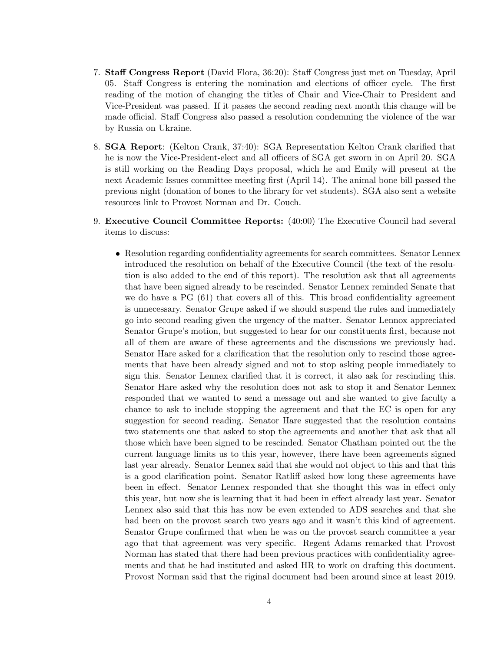- 7. Staff Congress Report (David Flora, 36:20): Staff Congress just met on Tuesday, April 05. Staff Congress is entering the nomination and elections of officer cycle. The first reading of the motion of changing the titles of Chair and Vice-Chair to President and Vice-President was passed. If it passes the second reading next month this change will be made official. Staff Congress also passed a resolution condemning the violence of the war by Russia on Ukraine.
- 8. SGA Report: (Kelton Crank, 37:40): SGA Representation Kelton Crank clarified that he is now the Vice-President-elect and all officers of SGA get sworn in on April 20. SGA is still working on the Reading Days proposal, which he and Emily will present at the next Academic Issues committee meeting first (April 14). The animal bone bill passed the previous night (donation of bones to the library for vet students). SGA also sent a website resources link to Provost Norman and Dr. Couch.
- 9. Executive Council Committee Reports: (40:00) The Executive Council had several items to discuss:
	- Resolution regarding confidentiality agreements for search committees. Senator Lennex introduced the resolution on behalf of the Executive Council (the text of the resolution is also added to the end of this report). The resolution ask that all agreements that have been signed already to be rescinded. Senator Lennex reminded Senate that we do have a PG (61) that covers all of this. This broad confidentiality agreement is unnecessary. Senator Grupe asked if we should suspend the rules and immediately go into second reading given the urgency of the matter. Senator Lennox appreciated Senator Grupe's motion, but suggested to hear for our constituents first, because not all of them are aware of these agreements and the discussions we previously had. Senator Hare asked for a clarification that the resolution only to rescind those agreements that have been already signed and not to stop asking people immediately to sign this. Senator Lennex clarified that it is correct, it also ask for rescinding this. Senator Hare asked why the resolution does not ask to stop it and Senator Lennex responded that we wanted to send a message out and she wanted to give faculty a chance to ask to include stopping the agreement and that the EC is open for any suggestion for second reading. Senator Hare suggested that the resolution contains two statements one that asked to stop the agreements and another that ask that all those which have been signed to be rescinded. Senator Chatham pointed out the the current language limits us to this year, however, there have been agreements signed last year already. Senator Lennex said that she would not object to this and that this is a good clarification point. Senator Ratliff asked how long these agreements have been in effect. Senator Lennex responded that she thought this was in effect only this year, but now she is learning that it had been in effect already last year. Senator Lennex also said that this has now be even extended to ADS searches and that she had been on the provost search two years ago and it wasn't this kind of agreement. Senator Grupe confirmed that when he was on the provost search committee a year ago that that agreement was very specific. Regent Adams remarked that Provost Norman has stated that there had been previous practices with confidentiality agreements and that he had instituted and asked HR to work on drafting this document. Provost Norman said that the riginal document had been around since at least 2019.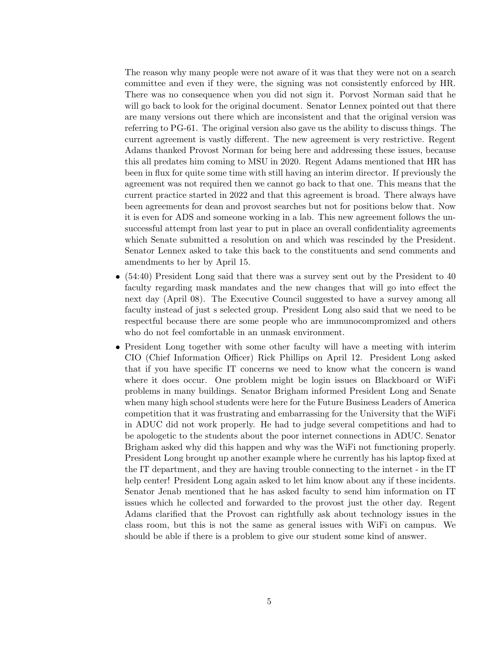The reason why many people were not aware of it was that they were not on a search committee and even if they were, the signing was not consistently enforced by HR. There was no consequence when you did not sign it. Porvost Norman said that he will go back to look for the original document. Senator Lennex pointed out that there are many versions out there which are inconsistent and that the original version was referring to PG-61. The original version also gave us the ability to discuss things. The current agreement is vastly different. The new agreement is very restrictive. Regent Adams thanked Provost Norman for being here and addressing these issues, because this all predates him coming to MSU in 2020. Regent Adams mentioned that HR has been in flux for quite some time with still having an interim director. If previously the agreement was not required then we cannot go back to that one. This means that the current practice started in 2022 and that this agreement is broad. There always have been agreements for dean and provost searches but not for positions below that. Now it is even for ADS and someone working in a lab. This new agreement follows the unsuccessful attempt from last year to put in place an overall confidentiality agreements which Senate submitted a resolution on and which was rescinded by the President. Senator Lennex asked to take this back to the constituents and send comments and amendments to her by April 15.

- $\bullet$  (54:40) President Long said that there was a survey sent out by the President to 40 faculty regarding mask mandates and the new changes that will go into effect the next day (April 08). The Executive Council suggested to have a survey among all faculty instead of just s selected group. President Long also said that we need to be respectful because there are some people who are immunocompromized and others who do not feel comfortable in an unmask environment.
- President Long together with some other faculty will have a meeting with interim CIO (Chief Information Officer) Rick Phillips on April 12. President Long asked that if you have specific IT concerns we need to know what the concern is wand where it does occur. One problem might be login issues on Blackboard or WiFi problems in many buildings. Senator Brigham informed President Long and Senate when many high school students were here for the Future Business Leaders of America competition that it was frustrating and embarrassing for the University that the WiFi in ADUC did not work properly. He had to judge several competitions and had to be apologetic to the students about the poor internet connections in ADUC. Senator Brigham asked why did this happen and why was the WiFi not functioning properly. President Long brought up another example where he currently has his laptop fixed at the IT department, and they are having trouble connecting to the internet - in the IT help center! President Long again asked to let him know about any if these incidents. Senator Jenab mentioned that he has asked faculty to send him information on IT issues which he collected and forwarded to the provost just the other day. Regent Adams clarified that the Provost can rightfully ask about technology issues in the class room, but this is not the same as general issues with WiFi on campus. We should be able if there is a problem to give our student some kind of answer.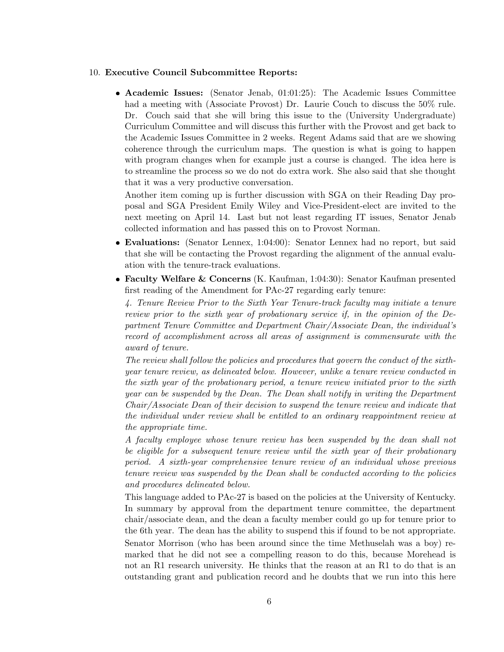## 10. Executive Council Subcommittee Reports:

 Academic Issues: (Senator Jenab, 01:01:25): The Academic Issues Committee had a meeting with (Associate Provost) Dr. Laurie Couch to discuss the 50% rule. Dr. Couch said that she will bring this issue to the (University Undergraduate) Curriculum Committee and will discuss this further with the Provost and get back to the Academic Issues Committee in 2 weeks. Regent Adams said that are we showing coherence through the curriculum maps. The question is what is going to happen with program changes when for example just a course is changed. The idea here is to streamline the process so we do not do extra work. She also said that she thought that it was a very productive conversation.

Another item coming up is further discussion with SGA on their Reading Day proposal and SGA President Emily Wiley and Vice-President-elect are invited to the next meeting on April 14. Last but not least regarding IT issues, Senator Jenab collected information and has passed this on to Provost Norman.

- Evaluations: (Senator Lennex, 1:04:00): Senator Lennex had no report, but said that she will be contacting the Provost regarding the alignment of the annual evaluation with the tenure-track evaluations.
- Faculty Welfare & Concerns (K. Kaufman, 1:04:30): Senator Kaufman presented first reading of the Amendment for PAc-27 regarding early tenure:

4. Tenure Review Prior to the Sixth Year Tenure-track faculty may initiate a tenure review prior to the sixth year of probationary service if, in the opinion of the Department Tenure Committee and Department Chair/Associate Dean, the individual's record of accomplishment across all areas of assignment is commensurate with the award of tenure.

The review shall follow the policies and procedures that govern the conduct of the sixthyear tenure review, as delineated below. However, unlike a tenure review conducted in the sixth year of the probationary period, a tenure review initiated prior to the sixth year can be suspended by the Dean. The Dean shall notify in writing the Department Chair/Associate Dean of their decision to suspend the tenure review and indicate that the individual under review shall be entitled to an ordinary reappointment review at the appropriate time.

A faculty employee whose tenure review has been suspended by the dean shall not be eligible for a subsequent tenure review until the sixth year of their probationary period. A sixth-year comprehensive tenure review of an individual whose previous tenure review was suspended by the Dean shall be conducted according to the policies and procedures delineated below.

This language added to PAc-27 is based on the policies at the University of Kentucky. In summary by approval from the department tenure committee, the department chair/associate dean, and the dean a faculty member could go up for tenure prior to the 6th year. The dean has the ability to suspend this if found to be not appropriate. Senator Morrison (who has been around since the time Methuselah was a boy) remarked that he did not see a compelling reason to do this, because Morehead is not an R1 research university. He thinks that the reason at an R1 to do that is an outstanding grant and publication record and he doubts that we run into this here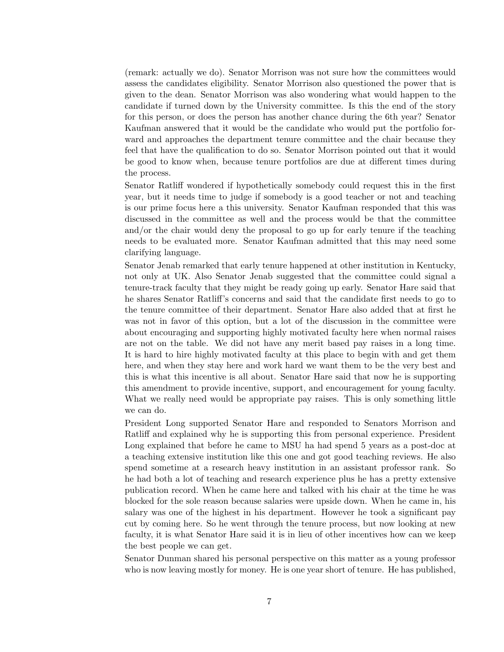(remark: actually we do). Senator Morrison was not sure how the committees would assess the candidates eligibility. Senator Morrison also questioned the power that is given to the dean. Senator Morrison was also wondering what would happen to the candidate if turned down by the University committee. Is this the end of the story for this person, or does the person has another chance during the 6th year? Senator Kaufman answered that it would be the candidate who would put the portfolio forward and approaches the department tenure committee and the chair because they feel that have the qualification to do so. Senator Morrison pointed out that it would be good to know when, because tenure portfolios are due at different times during the process.

Senator Ratliff wondered if hypothetically somebody could request this in the first year, but it needs time to judge if somebody is a good teacher or not and teaching is our prime focus here a this university. Senator Kaufman responded that this was discussed in the committee as well and the process would be that the committee and/or the chair would deny the proposal to go up for early tenure if the teaching needs to be evaluated more. Senator Kaufman admitted that this may need some clarifying language.

Senator Jenab remarked that early tenure happened at other institution in Kentucky, not only at UK. Also Senator Jenab suggested that the committee could signal a tenure-track faculty that they might be ready going up early. Senator Hare said that he shares Senator Ratliff's concerns and said that the candidate first needs to go to the tenure committee of their department. Senator Hare also added that at first he was not in favor of this option, but a lot of the discussion in the committee were about encouraging and supporting highly motivated faculty here when normal raises are not on the table. We did not have any merit based pay raises in a long time. It is hard to hire highly motivated faculty at this place to begin with and get them here, and when they stay here and work hard we want them to be the very best and this is what this incentive is all about. Senator Hare said that now he is supporting this amendment to provide incentive, support, and encouragement for young faculty. What we really need would be appropriate pay raises. This is only something little we can do.

President Long supported Senator Hare and responded to Senators Morrison and Ratliff and explained why he is supporting this from personal experience. President Long explained that before he came to MSU ha had spend 5 years as a post-doc at a teaching extensive institution like this one and got good teaching reviews. He also spend sometime at a research heavy institution in an assistant professor rank. So he had both a lot of teaching and research experience plus he has a pretty extensive publication record. When he came here and talked with his chair at the time he was blocked for the sole reason because salaries were upside down. When he came in, his salary was one of the highest in his department. However he took a significant pay cut by coming here. So he went through the tenure process, but now looking at new faculty, it is what Senator Hare said it is in lieu of other incentives how can we keep the best people we can get.

Senator Dunman shared his personal perspective on this matter as a young professor who is now leaving mostly for money. He is one year short of tenure. He has published,